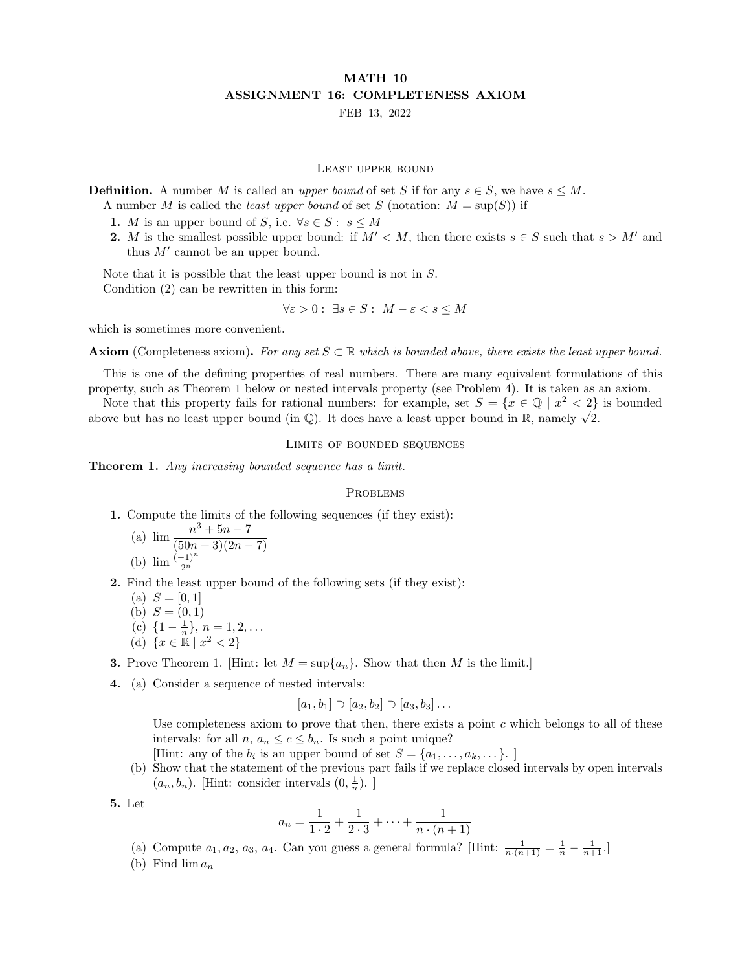## MATH 10 ASSIGNMENT 16: COMPLETENESS AXIOM

FEB 13, 2022

## Least upper bound

**Definition.** A number M is called an *upper bound* of set S if for any  $s \in S$ , we have  $s \leq M$ . A number M is called the *least upper bound* of set S (notation:  $M = \text{sup}(S)$ ) if

- 1. M is an upper bound of S, i.e.  $\forall s \in S: s \leq M$
- 2. M is the smallest possible upper bound: if  $M' < M$ , then there exists  $s \in S$  such that  $s > M'$  and thus  $M'$  cannot be an upper bound.

Note that it is possible that the least upper bound is not in S. Condition (2) can be rewritten in this form:

 $\forall \varepsilon > 0: \exists s \in S: M - \varepsilon < s \leq M$ 

which is sometimes more convenient.

**Axiom** (Completeness axiom). For any set  $S \subseteq \mathbb{R}$  which is bounded above, there exists the least upper bound.

This is one of the defining properties of real numbers. There are many equivalent formulations of this property, such as Theorem 1 below or nested intervals property (see Problem 4). It is taken as an axiom.

Note that this property fails for rational numbers: for example, set  $S = \{x \in \mathbb{Q} \mid x^2 < 2\}$  is bounded Note that this property rans for rational numbers: for example, set  $S = \{x \in \mathbb{Q} \mid x^{-} < 2\}$  above but has no least upper bound (in  $\mathbb{Q}$ ). It does have a least upper bound in R, namely  $\sqrt{2}$ .

## Limits of bounded sequences

Theorem 1. Any increasing bounded sequence has a limit.

## **PROBLEMS**

1. Compute the limits of the following sequences (if they exist):

(a) 
$$
\lim_{x \to 0} \frac{n^3 + 5n - 7}{(50n + 3)(2n - 7)}
$$
  
(b) 
$$
\lim_{x \to 0} \frac{(-1)^n}{2^n}
$$

- 2. Find the least upper bound of the following sets (if they exist):
	- (a)  $S = [0, 1]$
	- (b)  $S = (0, 1)$
	- (c)  $\{1-\frac{1}{n}\}, n=1,2,...$
	- (d)  $\{x \in \mathbb{R} \mid x^2 < 2\}$

**3.** Prove Theorem 1. [Hint: let  $M = \sup\{a_n\}$ . Show that then M is the limit.]

4. (a) Consider a sequence of nested intervals:

$$
[a_1,b_1] \supset [a_2,b_2] \supset [a_3,b_3] \dots
$$

Use completeness axiom to prove that then, there exists a point  $c$  which belongs to all of these intervals: for all  $n, a_n \leq c \leq b_n$ . Is such a point unique?

[Hint: any of the  $b_i$  is an upper bound of set  $S = \{a_1, \ldots, a_k, \ldots\}$ .]

(b) Show that the statement of the previous part fails if we replace closed intervals by open intervals  $(a_n, b_n)$ . [Hint: consider intervals  $(0, \frac{1}{n})$ .]

5. Let

$$
a_n = \frac{1}{1 \cdot 2} + \frac{1}{2 \cdot 3} + \dots + \frac{1}{n \cdot (n+1)}
$$

- (a) Compute  $a_1, a_2, a_3, a_4$ . Can you guess a general formula? [Hint:  $\frac{1}{n \cdot (n+1)} = \frac{1}{n} \frac{1}{n+1}$ .]
- (b) Find  $\lim a_n$